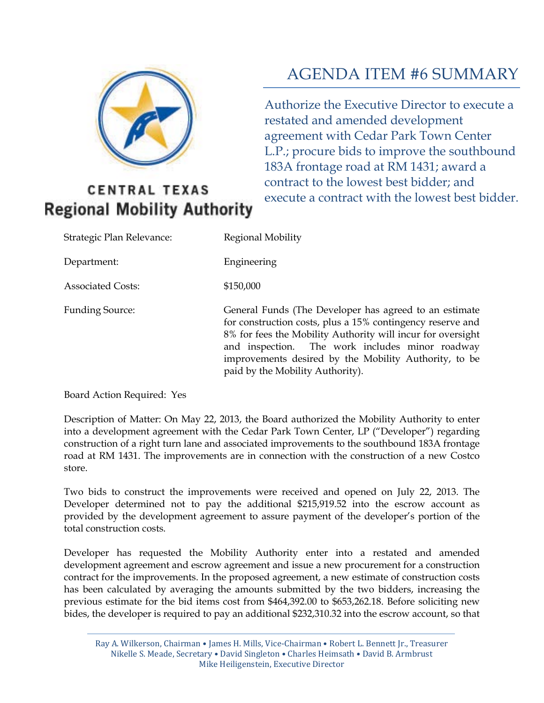

# **CENTRAL TEXAS Regional Mobility Authority**

# AGENDA ITEM #6 SUMMARY

Authorize the Executive Director to execute a restated and amended development agreement with Cedar Park Town Center L.P.; procure bids to improve the southbound 183A frontage road at RM 1431; award a contract to the lowest best bidder; and execute a contract with the lowest best bidder.

| Strategic Plan Relevance: | Regional Mobility                                                                                                                                                                                                                                                                                                                   |
|---------------------------|-------------------------------------------------------------------------------------------------------------------------------------------------------------------------------------------------------------------------------------------------------------------------------------------------------------------------------------|
| Department:               | Engineering                                                                                                                                                                                                                                                                                                                         |
| <b>Associated Costs:</b>  | \$150,000                                                                                                                                                                                                                                                                                                                           |
| <b>Funding Source:</b>    | General Funds (The Developer has agreed to an estimate<br>for construction costs, plus a 15% contingency reserve and<br>8% for fees the Mobility Authority will incur for oversight<br>and inspection. The work includes minor roadway<br>improvements desired by the Mobility Authority, to be<br>paid by the Mobility Authority). |

Board Action Required: Yes

Description of Matter: On May 22, 2013, the Board authorized the Mobility Authority to enter into a development agreement with the Cedar Park Town Center, LP ("Developer") regarding construction of a right turn lane and associated improvements to the southbound 183A frontage road at RM 1431. The improvements are in connection with the construction of a new Costco store.

Two bids to construct the improvements were received and opened on July 22, 2013. The Developer determined not to pay the additional \$215,919.52 into the escrow account as provided by the development agreement to assure payment of the developer's portion of the total construction costs.

Developer has requested the Mobility Authority enter into a restated and amended development agreement and escrow agreement and issue a new procurement for a construction contract for the improvements. In the proposed agreement, a new estimate of construction costs has been calculated by averaging the amounts submitted by the two bidders, increasing the previous estimate for the bid items cost from \$464,392.00 to \$653,262.18. Before soliciting new bides, the developer is required to pay an additional \$232,310.32 into the escrow account, so that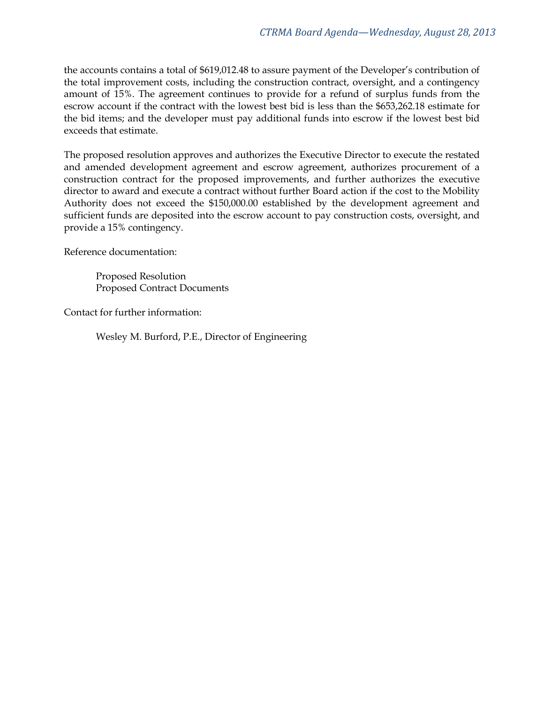the accounts contains a total of \$619,012.48 to assure payment of the Developer's contribution of the total improvement costs, including the construction contract, oversight, and a contingency amount of 15%. The agreement continues to provide for a refund of surplus funds from the escrow account if the contract with the lowest best bid is less than the \$653,262.18 estimate for the bid items; and the developer must pay additional funds into escrow if the lowest best bid exceeds that estimate.

The proposed resolution approves and authorizes the Executive Director to execute the restated and amended development agreement and escrow agreement, authorizes procurement of a construction contract for the proposed improvements, and further authorizes the executive director to award and execute a contract without further Board action if the cost to the Mobility Authority does not exceed the \$150,000.00 established by the development agreement and sufficient funds are deposited into the escrow account to pay construction costs, oversight, and provide a 15% contingency.

Reference documentation:

Proposed Resolution Proposed Contract Documents

Contact for further information:

Wesley M. Burford, P.E., Director of Engineering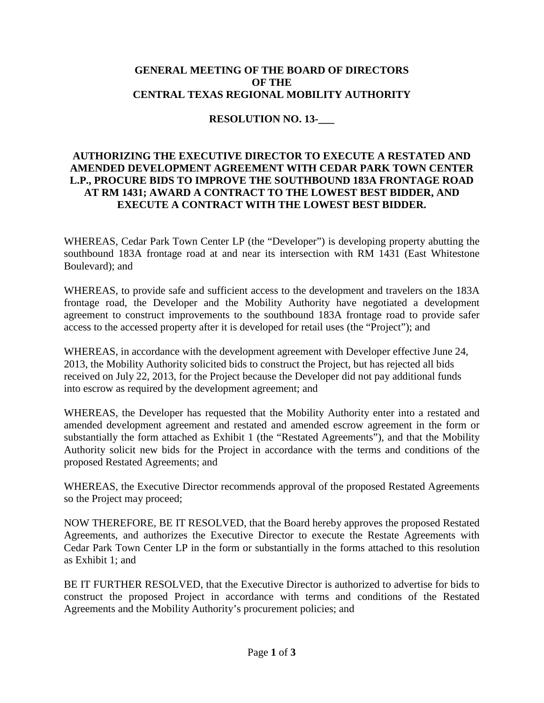#### **GENERAL MEETING OF THE BOARD OF DIRECTORS OF THE CENTRAL TEXAS REGIONAL MOBILITY AUTHORITY**

#### **RESOLUTION NO. 13-\_\_\_**

#### **AUTHORIZING THE EXECUTIVE DIRECTOR TO EXECUTE A RESTATED AND AMENDED DEVELOPMENT AGREEMENT WITH CEDAR PARK TOWN CENTER L.P., PROCURE BIDS TO IMPROVE THE SOUTHBOUND 183A FRONTAGE ROAD AT RM 1431; AWARD A CONTRACT TO THE LOWEST BEST BIDDER, AND EXECUTE A CONTRACT WITH THE LOWEST BEST BIDDER.**

WHEREAS, Cedar Park Town Center LP (the "Developer") is developing property abutting the southbound 183A frontage road at and near its intersection with RM 1431 (East Whitestone Boulevard); and

WHEREAS, to provide safe and sufficient access to the development and travelers on the 183A frontage road, the Developer and the Mobility Authority have negotiated a development agreement to construct improvements to the southbound 183A frontage road to provide safer access to the accessed property after it is developed for retail uses (the "Project"); and

WHEREAS, in accordance with the development agreement with Developer effective June 24, 2013, the Mobility Authority solicited bids to construct the Project, but has rejected all bids received on July 22, 2013, for the Project because the Developer did not pay additional funds into escrow as required by the development agreement; and

WHEREAS, the Developer has requested that the Mobility Authority enter into a restated and amended development agreement and restated and amended escrow agreement in the form or substantially the form attached as Exhibit 1 (the "Restated Agreements"), and that the Mobility Authority solicit new bids for the Project in accordance with the terms and conditions of the proposed Restated Agreements; and

WHEREAS, the Executive Director recommends approval of the proposed Restated Agreements so the Project may proceed;

NOW THEREFORE, BE IT RESOLVED, that the Board hereby approves the proposed Restated Agreements, and authorizes the Executive Director to execute the Restate Agreements with Cedar Park Town Center LP in the form or substantially in the forms attached to this resolution as Exhibit 1; and

BE IT FURTHER RESOLVED, that the Executive Director is authorized to advertise for bids to construct the proposed Project in accordance with terms and conditions of the Restated Agreements and the Mobility Authority's procurement policies; and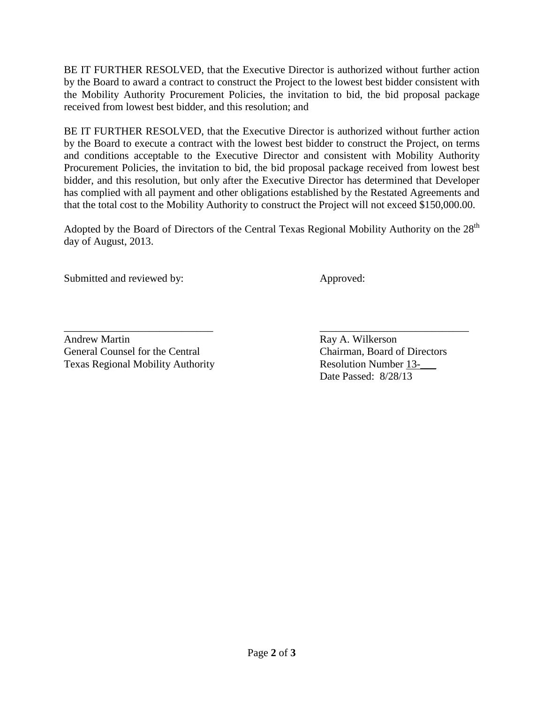BE IT FURTHER RESOLVED, that the Executive Director is authorized without further action by the Board to award a contract to construct the Project to the lowest best bidder consistent with the Mobility Authority Procurement Policies, the invitation to bid, the bid proposal package received from lowest best bidder, and this resolution; and

BE IT FURTHER RESOLVED, that the Executive Director is authorized without further action by the Board to execute a contract with the lowest best bidder to construct the Project, on terms and conditions acceptable to the Executive Director and consistent with Mobility Authority Procurement Policies, the invitation to bid, the bid proposal package received from lowest best bidder, and this resolution, but only after the Executive Director has determined that Developer has complied with all payment and other obligations established by the Restated Agreements and that the total cost to the Mobility Authority to construct the Project will not exceed \$150,000.00.

Adopted by the Board of Directors of the Central Texas Regional Mobility Authority on the 28<sup>th</sup> day of August, 2013.

Submitted and reviewed by: Approved:

Andrew Martin Ray A. Wilkerson General Counsel for the Central Chairman, Board of Directors Texas Regional Mobility Authority Resolution Number 13-

\_\_\_\_\_\_\_\_\_\_\_\_\_\_\_\_\_\_\_\_\_\_\_\_\_\_\_\_ \_\_\_\_\_\_\_\_\_\_\_\_\_\_\_\_\_\_\_\_\_\_\_\_\_\_\_\_ Date Passed: 8/28/13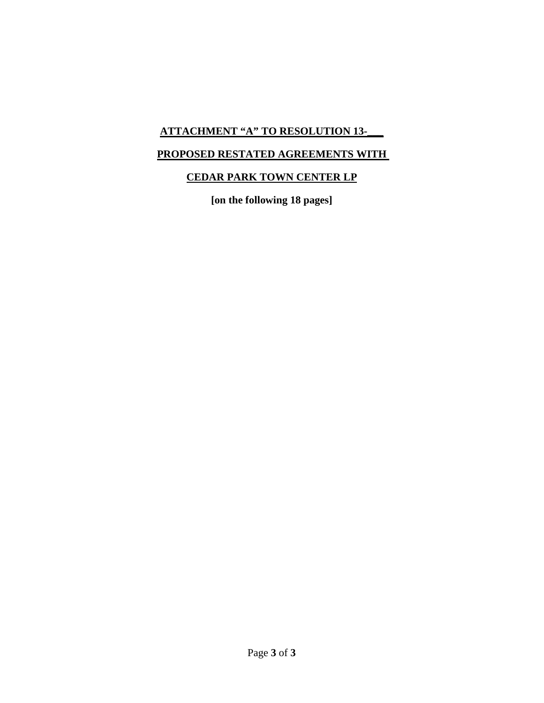# **ATTACHMENT "A" TO RESOLUTION 13-\_\_\_**

# **PROPOSED RESTATED AGREEMENTS WITH**

# **CEDAR PARK TOWN CENTER LP**

**[on the following 18 pages]**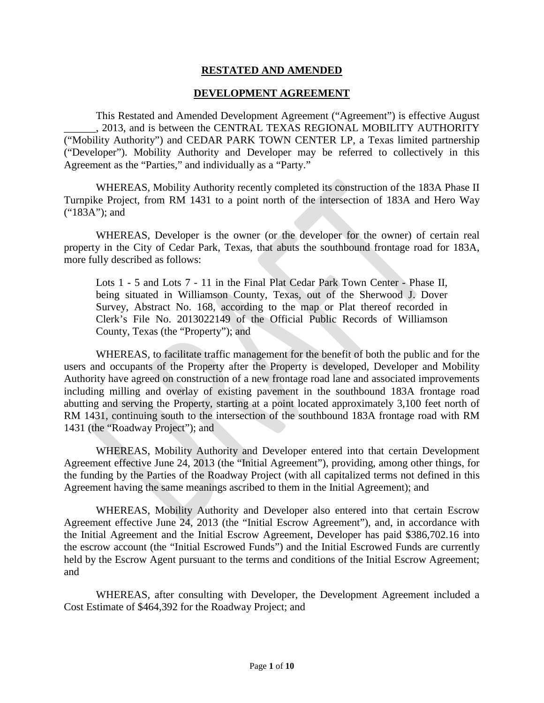#### **RESTATED AND AMENDED**

#### **DEVELOPMENT AGREEMENT**

This Restated and Amended Development Agreement ("Agreement") is effective August \_\_\_\_\_\_, 2013, and is between the CENTRAL TEXAS REGIONAL MOBILITY AUTHORITY ("Mobility Authority") and CEDAR PARK TOWN CENTER LP, a Texas limited partnership ("Developer"). Mobility Authority and Developer may be referred to collectively in this Agreement as the "Parties," and individually as a "Party."

WHEREAS, Mobility Authority recently completed its construction of the 183A Phase II Turnpike Project, from RM 1431 to a point north of the intersection of 183A and Hero Way ("183A"); and

WHEREAS, Developer is the owner (or the developer for the owner) of certain real property in the City of Cedar Park, Texas, that abuts the southbound frontage road for 183A, more fully described as follows:

Lots 1 - 5 and Lots 7 - 11 in the Final Plat Cedar Park Town Center - Phase II, being situated in Williamson County, Texas, out of the Sherwood J. Dover Survey, Abstract No. 168, according to the map or Plat thereof recorded in Clerk's File No. 2013022149 of the Official Public Records of Williamson County, Texas (the "Property"); and

WHEREAS, to facilitate traffic management for the benefit of both the public and for the users and occupants of the Property after the Property is developed, Developer and Mobility Authority have agreed on construction of a new frontage road lane and associated improvements including milling and overlay of existing pavement in the southbound 183A frontage road abutting and serving the Property, starting at a point located approximately 3,100 feet north of RM 1431, continuing south to the intersection of the southbound 183A frontage road with RM 1431 (the "Roadway Project"); and

WHEREAS, Mobility Authority and Developer entered into that certain Development Agreement effective June 24, 2013 (the "Initial Agreement"), providing, among other things, for the funding by the Parties of the Roadway Project (with all capitalized terms not defined in this Agreement having the same meanings ascribed to them in the Initial Agreement); and

WHEREAS, Mobility Authority and Developer also entered into that certain Escrow Agreement effective June 24, 2013 (the "Initial Escrow Agreement"), and, in accordance with the Initial Agreement and the Initial Escrow Agreement, Developer has paid \$386,702.16 into the escrow account (the "Initial Escrowed Funds") and the Initial Escrowed Funds are currently held by the Escrow Agent pursuant to the terms and conditions of the Initial Escrow Agreement; and

WHEREAS, after consulting with Developer, the Development Agreement included a Cost Estimate of \$464,392 for the Roadway Project; and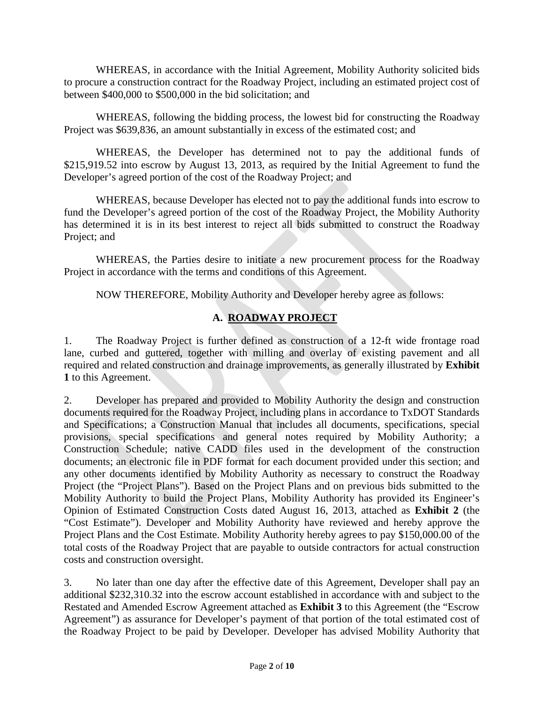WHEREAS, in accordance with the Initial Agreement, Mobility Authority solicited bids to procure a construction contract for the Roadway Project, including an estimated project cost of between \$400,000 to \$500,000 in the bid solicitation; and

WHEREAS, following the bidding process, the lowest bid for constructing the Roadway Project was \$639,836, an amount substantially in excess of the estimated cost; and

WHEREAS, the Developer has determined not to pay the additional funds of \$215,919.52 into escrow by August 13, 2013, as required by the Initial Agreement to fund the Developer's agreed portion of the cost of the Roadway Project; and

WHEREAS, because Developer has elected not to pay the additional funds into escrow to fund the Developer's agreed portion of the cost of the Roadway Project, the Mobility Authority has determined it is in its best interest to reject all bids submitted to construct the Roadway Project; and

WHEREAS, the Parties desire to initiate a new procurement process for the Roadway Project in accordance with the terms and conditions of this Agreement.

NOW THEREFORE, Mobility Authority and Developer hereby agree as follows:

# **A. ROADWAY PROJECT**

1. The Roadway Project is further defined as construction of a 12-ft wide frontage road lane, curbed and guttered, together with milling and overlay of existing pavement and all required and related construction and drainage improvements, as generally illustrated by **Exhibit 1** to this Agreement.

2. Developer has prepared and provided to Mobility Authority the design and construction documents required for the Roadway Project, including plans in accordance to TxDOT Standards and Specifications; a Construction Manual that includes all documents, specifications, special provisions, special specifications and general notes required by Mobility Authority; a Construction Schedule; native CADD files used in the development of the construction documents; an electronic file in PDF format for each document provided under this section; and any other documents identified by Mobility Authority as necessary to construct the Roadway Project (the "Project Plans"). Based on the Project Plans and on previous bids submitted to the Mobility Authority to build the Project Plans, Mobility Authority has provided its Engineer's Opinion of Estimated Construction Costs dated August 16, 2013, attached as **Exhibit 2** (the "Cost Estimate"). Developer and Mobility Authority have reviewed and hereby approve the Project Plans and the Cost Estimate. Mobility Authority hereby agrees to pay \$150,000.00 of the total costs of the Roadway Project that are payable to outside contractors for actual construction costs and construction oversight.

3. No later than one day after the effective date of this Agreement, Developer shall pay an additional \$232,310.32 into the escrow account established in accordance with and subject to the Restated and Amended Escrow Agreement attached as **Exhibit 3** to this Agreement (the "Escrow Agreement") as assurance for Developer's payment of that portion of the total estimated cost of the Roadway Project to be paid by Developer. Developer has advised Mobility Authority that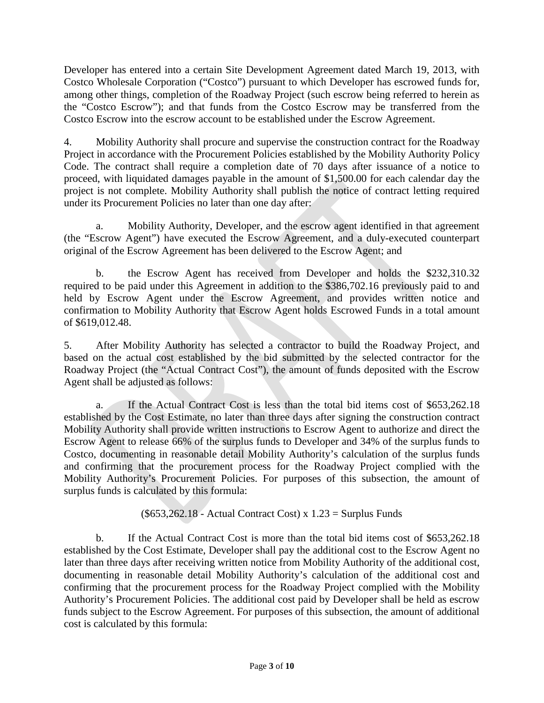Developer has entered into a certain Site Development Agreement dated March 19, 2013, with Costco Wholesale Corporation ("Costco") pursuant to which Developer has escrowed funds for, among other things, completion of the Roadway Project (such escrow being referred to herein as the "Costco Escrow"); and that funds from the Costco Escrow may be transferred from the Costco Escrow into the escrow account to be established under the Escrow Agreement.

4. Mobility Authority shall procure and supervise the construction contract for the Roadway Project in accordance with the Procurement Policies established by the Mobility Authority Policy Code. The contract shall require a completion date of 70 days after issuance of a notice to proceed, with liquidated damages payable in the amount of \$1,500.00 for each calendar day the project is not complete. Mobility Authority shall publish the notice of contract letting required under its Procurement Policies no later than one day after:

a. Mobility Authority, Developer, and the escrow agent identified in that agreement (the "Escrow Agent") have executed the Escrow Agreement, and a duly-executed counterpart original of the Escrow Agreement has been delivered to the Escrow Agent; and

b. the Escrow Agent has received from Developer and holds the \$232,310.32 required to be paid under this Agreement in addition to the \$386,702.16 previously paid to and held by Escrow Agent under the Escrow Agreement, and provides written notice and confirmation to Mobility Authority that Escrow Agent holds Escrowed Funds in a total amount of \$619,012.48.

5. After Mobility Authority has selected a contractor to build the Roadway Project, and based on the actual cost established by the bid submitted by the selected contractor for the Roadway Project (the "Actual Contract Cost"), the amount of funds deposited with the Escrow Agent shall be adjusted as follows:

a. If the Actual Contract Cost is less than the total bid items cost of \$653,262.18 established by the Cost Estimate, no later than three days after signing the construction contract Mobility Authority shall provide written instructions to Escrow Agent to authorize and direct the Escrow Agent to release 66% of the surplus funds to Developer and 34% of the surplus funds to Costco, documenting in reasonable detail Mobility Authority's calculation of the surplus funds and confirming that the procurement process for the Roadway Project complied with the Mobility Authority's Procurement Policies. For purposes of this subsection, the amount of surplus funds is calculated by this formula:

 $(\$653,262.18 - Actual Contract Cost) \times 1.23 = Surplus Funds$ 

b. If the Actual Contract Cost is more than the total bid items cost of \$653,262.18 established by the Cost Estimate, Developer shall pay the additional cost to the Escrow Agent no later than three days after receiving written notice from Mobility Authority of the additional cost, documenting in reasonable detail Mobility Authority's calculation of the additional cost and confirming that the procurement process for the Roadway Project complied with the Mobility Authority's Procurement Policies. The additional cost paid by Developer shall be held as escrow funds subject to the Escrow Agreement. For purposes of this subsection, the amount of additional cost is calculated by this formula: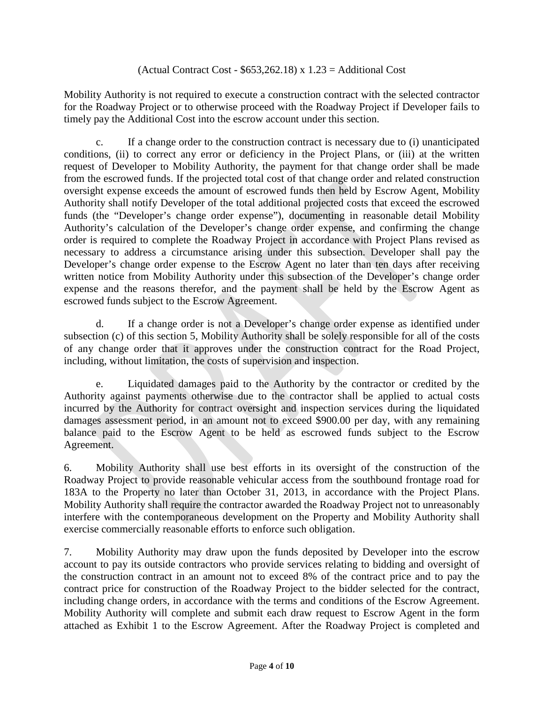#### (Actual Contract Cost -  $$653,262.18$ ) x  $1.23$  = Additional Cost

Mobility Authority is not required to execute a construction contract with the selected contractor for the Roadway Project or to otherwise proceed with the Roadway Project if Developer fails to timely pay the Additional Cost into the escrow account under this section.

c. If a change order to the construction contract is necessary due to (i) unanticipated conditions, (ii) to correct any error or deficiency in the Project Plans, or (iii) at the written request of Developer to Mobility Authority, the payment for that change order shall be made from the escrowed funds. If the projected total cost of that change order and related construction oversight expense exceeds the amount of escrowed funds then held by Escrow Agent, Mobility Authority shall notify Developer of the total additional projected costs that exceed the escrowed funds (the "Developer's change order expense"), documenting in reasonable detail Mobility Authority's calculation of the Developer's change order expense, and confirming the change order is required to complete the Roadway Project in accordance with Project Plans revised as necessary to address a circumstance arising under this subsection. Developer shall pay the Developer's change order expense to the Escrow Agent no later than ten days after receiving written notice from Mobility Authority under this subsection of the Developer's change order expense and the reasons therefor, and the payment shall be held by the Escrow Agent as escrowed funds subject to the Escrow Agreement.

d. If a change order is not a Developer's change order expense as identified under subsection (c) of this section 5, Mobility Authority shall be solely responsible for all of the costs of any change order that it approves under the construction contract for the Road Project, including, without limitation, the costs of supervision and inspection.

e. Liquidated damages paid to the Authority by the contractor or credited by the Authority against payments otherwise due to the contractor shall be applied to actual costs incurred by the Authority for contract oversight and inspection services during the liquidated damages assessment period, in an amount not to exceed \$900.00 per day, with any remaining balance paid to the Escrow Agent to be held as escrowed funds subject to the Escrow Agreement.

6. Mobility Authority shall use best efforts in its oversight of the construction of the Roadway Project to provide reasonable vehicular access from the southbound frontage road for 183A to the Property no later than October 31, 2013, in accordance with the Project Plans. Mobility Authority shall require the contractor awarded the Roadway Project not to unreasonably interfere with the contemporaneous development on the Property and Mobility Authority shall exercise commercially reasonable efforts to enforce such obligation.

7. Mobility Authority may draw upon the funds deposited by Developer into the escrow account to pay its outside contractors who provide services relating to bidding and oversight of the construction contract in an amount not to exceed 8% of the contract price and to pay the contract price for construction of the Roadway Project to the bidder selected for the contract, including change orders, in accordance with the terms and conditions of the Escrow Agreement. Mobility Authority will complete and submit each draw request to Escrow Agent in the form attached as Exhibit 1 to the Escrow Agreement. After the Roadway Project is completed and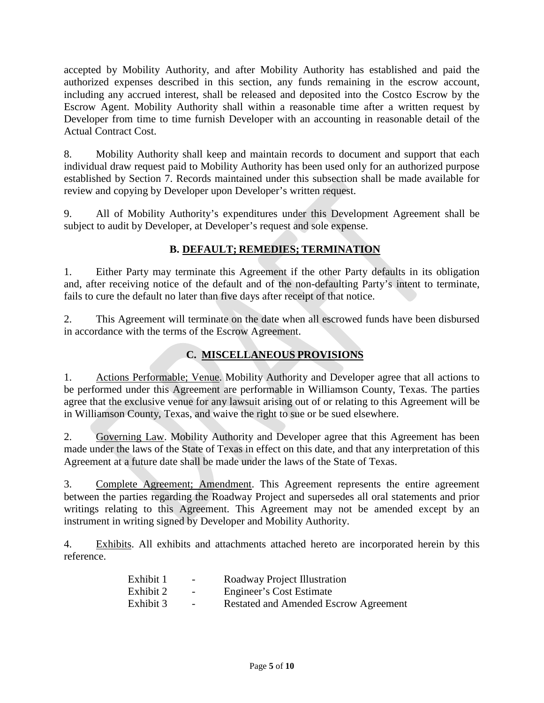accepted by Mobility Authority, and after Mobility Authority has established and paid the authorized expenses described in this section, any funds remaining in the escrow account, including any accrued interest, shall be released and deposited into the Costco Escrow by the Escrow Agent. Mobility Authority shall within a reasonable time after a written request by Developer from time to time furnish Developer with an accounting in reasonable detail of the Actual Contract Cost.

8. Mobility Authority shall keep and maintain records to document and support that each individual draw request paid to Mobility Authority has been used only for an authorized purpose established by Section 7. Records maintained under this subsection shall be made available for review and copying by Developer upon Developer's written request.

9. All of Mobility Authority's expenditures under this Development Agreement shall be subject to audit by Developer, at Developer's request and sole expense.

### **B. DEFAULT; REMEDIES; TERMINATION**

1. Either Party may terminate this Agreement if the other Party defaults in its obligation and, after receiving notice of the default and of the non-defaulting Party's intent to terminate, fails to cure the default no later than five days after receipt of that notice.

2. This Agreement will terminate on the date when all escrowed funds have been disbursed in accordance with the terms of the Escrow Agreement.

# **C. MISCELLANEOUS PROVISIONS**

1. Actions Performable; Venue. Mobility Authority and Developer agree that all actions to be performed under this Agreement are performable in Williamson County, Texas. The parties agree that the exclusive venue for any lawsuit arising out of or relating to this Agreement will be in Williamson County, Texas, and waive the right to sue or be sued elsewhere.

2. Governing Law. Mobility Authority and Developer agree that this Agreement has been made under the laws of the State of Texas in effect on this date, and that any interpretation of this Agreement at a future date shall be made under the laws of the State of Texas.

3. Complete Agreement; Amendment. This Agreement represents the entire agreement between the parties regarding the Roadway Project and supersedes all oral statements and prior writings relating to this Agreement. This Agreement may not be amended except by an instrument in writing signed by Developer and Mobility Authority.

4. Exhibits. All exhibits and attachments attached hereto are incorporated herein by this reference.

| Exhibit 1 | $\sim$                   | Roadway Project Illustration                 |
|-----------|--------------------------|----------------------------------------------|
| Exhibit 2 | $\overline{\phantom{0}}$ | Engineer's Cost Estimate                     |
| Exhibit 3 | $\overline{\phantom{0}}$ | <b>Restated and Amended Escrow Agreement</b> |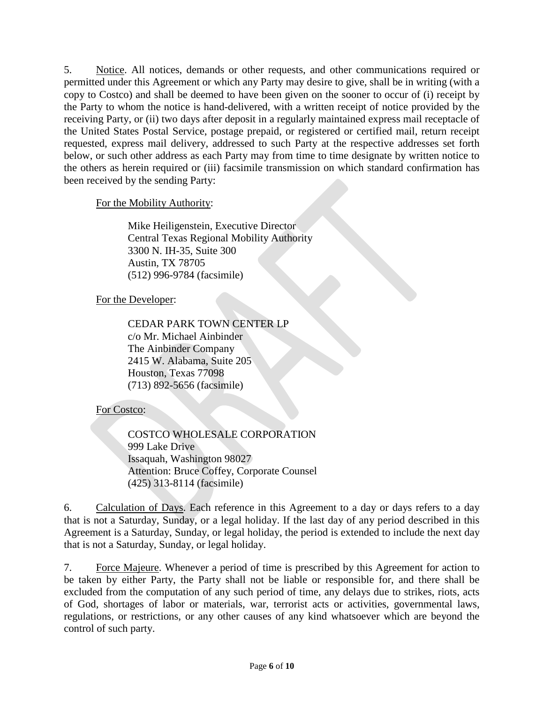5. Notice. All notices, demands or other requests, and other communications required or permitted under this Agreement or which any Party may desire to give, shall be in writing (with a copy to Costco) and shall be deemed to have been given on the sooner to occur of (i) receipt by the Party to whom the notice is hand-delivered, with a written receipt of notice provided by the receiving Party, or (ii) two days after deposit in a regularly maintained express mail receptacle of the United States Postal Service, postage prepaid, or registered or certified mail, return receipt requested, express mail delivery, addressed to such Party at the respective addresses set forth below, or such other address as each Party may from time to time designate by written notice to the others as herein required or (iii) facsimile transmission on which standard confirmation has been received by the sending Party:

For the Mobility Authority:

Mike Heiligenstein, Executive Director Central Texas Regional Mobility Authority 3300 N. IH-35, Suite 300 Austin, TX 78705 (512) 996-9784 (facsimile)

For the Developer:

CEDAR PARK TOWN CENTER LP c/o Mr. Michael Ainbinder The Ainbinder Company 2415 W. Alabama, Suite 205 Houston, Texas 77098 (713) 892-5656 (facsimile)

For Costco:

COSTCO WHOLESALE CORPORATION 999 Lake Drive Issaquah, Washington 98027 Attention: Bruce Coffey, Corporate Counsel (425) 313-8114 (facsimile)

6. Calculation of Days. Each reference in this Agreement to a day or days refers to a day that is not a Saturday, Sunday, or a legal holiday. If the last day of any period described in this Agreement is a Saturday, Sunday, or legal holiday, the period is extended to include the next day that is not a Saturday, Sunday, or legal holiday.

7. Force Majeure. Whenever a period of time is prescribed by this Agreement for action to be taken by either Party, the Party shall not be liable or responsible for, and there shall be excluded from the computation of any such period of time, any delays due to strikes, riots, acts of God, shortages of labor or materials, war, terrorist acts or activities, governmental laws, regulations, or restrictions, or any other causes of any kind whatsoever which are beyond the control of such party.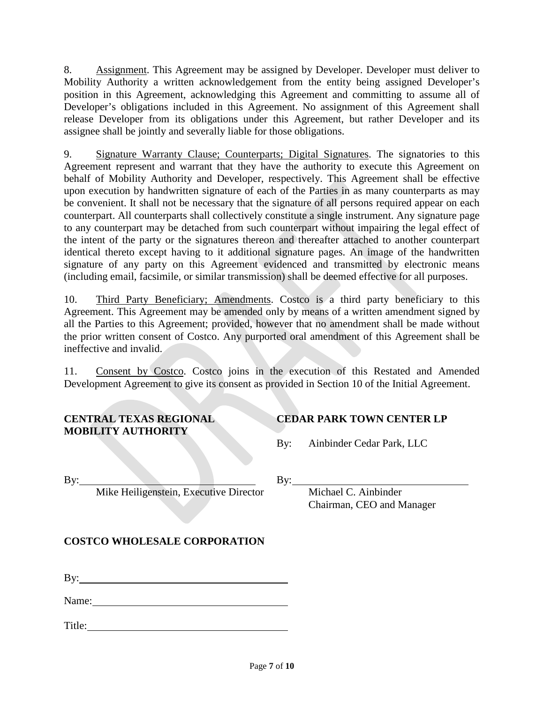8. Assignment. This Agreement may be assigned by Developer. Developer must deliver to Mobility Authority a written acknowledgement from the entity being assigned Developer's position in this Agreement, acknowledging this Agreement and committing to assume all of Developer's obligations included in this Agreement. No assignment of this Agreement shall release Developer from its obligations under this Agreement, but rather Developer and its assignee shall be jointly and severally liable for those obligations.

9. Signature Warranty Clause; Counterparts; Digital Signatures. The signatories to this Agreement represent and warrant that they have the authority to execute this Agreement on behalf of Mobility Authority and Developer, respectively. This Agreement shall be effective upon execution by handwritten signature of each of the Parties in as many counterparts as may be convenient. It shall not be necessary that the signature of all persons required appear on each counterpart. All counterparts shall collectively constitute a single instrument. Any signature page to any counterpart may be detached from such counterpart without impairing the legal effect of the intent of the party or the signatures thereon and thereafter attached to another counterpart identical thereto except having to it additional signature pages. An image of the handwritten signature of any party on this Agreement evidenced and transmitted by electronic means (including email, facsimile, or similar transmission) shall be deemed effective for all purposes.

10. Third Party Beneficiary; Amendments. Costco is a third party beneficiary to this Agreement. This Agreement may be amended only by means of a written amendment signed by all the Parties to this Agreement; provided, however that no amendment shall be made without the prior written consent of Costco. Any purported oral amendment of this Agreement shall be ineffective and invalid.

11. Consent by Costco. Costco joins in the execution of this Restated and Amended Development Agreement to give its consent as provided in Section 10 of the Initial Agreement.

#### **CENTRAL TEXAS REGIONAL MOBILITY AUTHORITY**

### **CEDAR PARK TOWN CENTER LP**

By: Ainbinder Cedar Park, LLC

By:

Mike Heiligenstein, Executive Director

Michael C. Ainbinder Chairman, CEO and Manager

# **COSTCO WHOLESALE CORPORATION**

By:

Name: Name:

Title: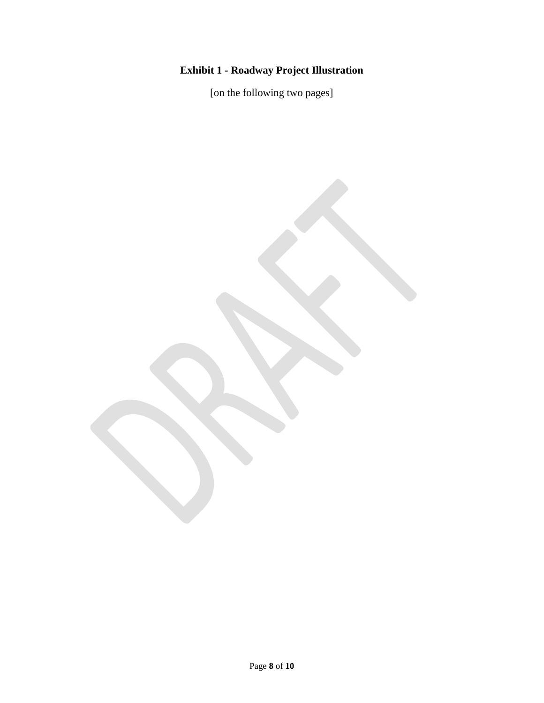# **Exhibit 1 - Roadway Project Illustration**

[on the following two pages]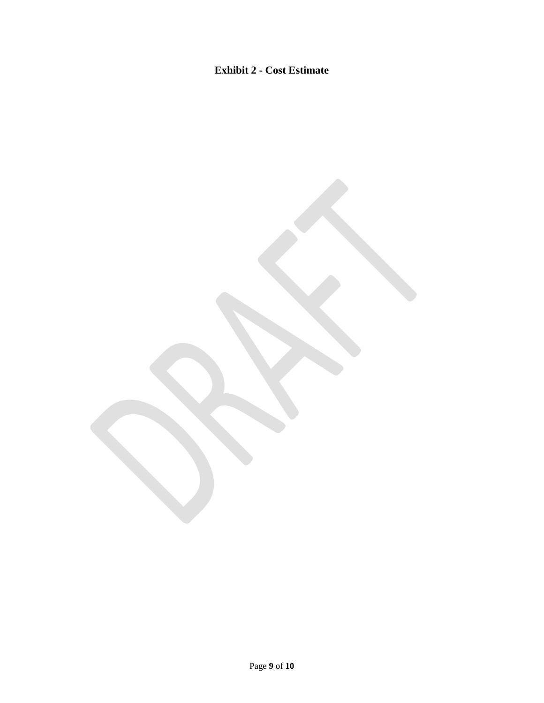# **Exhibit 2 - Cost Estimate**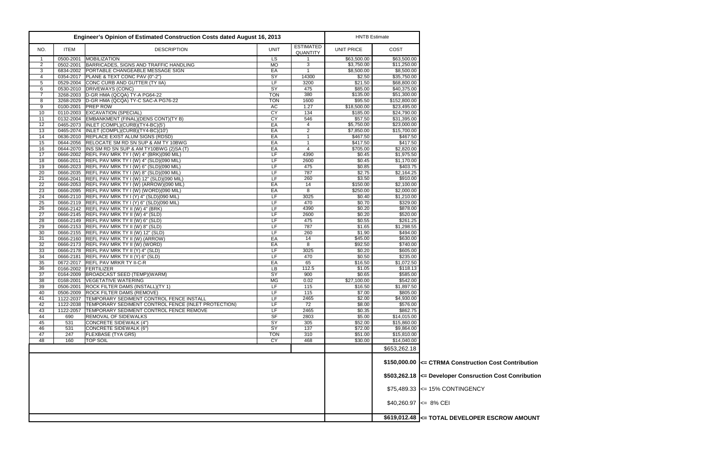|                     |             | <b>Engineer's Opinion of Estimated Construction Costs dated August 16, 2013</b>                         |                          |                              | <b>HNTB Estimate</b> |                            |                                         |
|---------------------|-------------|---------------------------------------------------------------------------------------------------------|--------------------------|------------------------------|----------------------|----------------------------|-----------------------------------------|
| NO.                 | <b>ITEM</b> | <b>DESCRIPTION</b>                                                                                      | <b>UNIT</b>              | <b>ESTIMATED</b><br>QUANTITY | <b>UNIT PRICE</b>    | COST                       |                                         |
| -1                  | 0500-2001   | <b>MOBILIZATION</b>                                                                                     | LS                       |                              | \$63,500.00          | \$63,500.00                |                                         |
| $\overline{2}$      | 0502-2001   | BARRICADES, SIGNS AND TRAFFIC HANDLING                                                                  | <b>MO</b>                | 3                            | \$3,750.00           | \$11,250.00                |                                         |
| 3                   |             | 6834-2002 PORTABLE CHANGEABLE MESSAGE SIGN                                                              | EA                       | $\overline{\mathbf{1}}$      | \$8,500.00           | \$8,500.00                 |                                         |
| 4                   | 0354-2017   | PLANE & TEXT CONC PAV (0"-2")                                                                           | SY                       | 14300                        | \$2.50               | \$35,750.00                |                                         |
| 5                   | 0529-2004   | CONC CURB AND GUTTER (TY IIA)                                                                           | LF                       | 3200                         | \$21.50              | \$68,800.00                |                                         |
| 6<br>$\overline{7}$ | 0530-2010   | DRIVEWAYS (CONC)<br>3268-2003 D-GR HMA (QCQA) TY-A PG64-22                                              | $\overline{SY}$          | 475<br>380                   | \$85.00<br>\$135.00  | \$40,375.00<br>\$51,300.00 |                                         |
| 8                   | 3268-2029   | D-GR HMA (QCQA) TY-C SAC-A PG76-22                                                                      | <b>TON</b><br><b>TON</b> | 1600                         | \$95.50              | \$152,800.00               |                                         |
| 9                   |             | 0100-2001 PREP ROW                                                                                      | <b>AC</b>                | 1.27                         | \$18,500.00          | \$23,495.00                |                                         |
| 10                  |             | 0110-2003 EXCAVATION (SPECIAL)                                                                          | CY                       | 134                          | \$185.00             | \$24,790.00                |                                         |
| 11                  |             | 0132-2004 EMBANKMENT (FINAL) (DENS CONT) (TY B)                                                         | CY                       | 546                          | \$57.50              | \$31,395.00                |                                         |
| 12                  |             | 0465-2073  INLET (COMPL)(CURB)(TY4-BC)(5')                                                              | EA                       | 4                            | \$5,750.00           | \$23,000.00                |                                         |
| 13                  |             | 0465-2074   INLET (COMPL)(CURB)(TY4-BC)(10')                                                            | EA                       | 2                            | \$7,850.00           | \$15,700.00                |                                         |
| 14                  |             | 0636-2010 REPLACE EXIST ALUM SIGNS (RDSD)                                                               | EA                       | $\overline{1}$               | \$467.50             | \$467.50                   |                                         |
| 15                  |             | 0644-2056 RELOCATE SM RD SN SUP & AM TY 10BWG                                                           | EA                       | $\overline{1}$               | \$417.50             | \$417.50                   |                                         |
| 16                  |             | 0644-2070   INS SM RD SN SUP & AM TY10BWG (2) SA (T)                                                    | EA                       | 4                            | \$705.00             | \$2,820.00                 |                                         |
| 17                  |             | 0666-2002   REFL PAV MRK TY I (W) 4" (BRK) (090 MIL)                                                    | LF                       | 4390                         | \$0.45               | \$1,975.50                 |                                         |
| 18                  |             | 0666-2011 REFL PAV MRK TY I (W) 4" (SLD) (090 MIL)                                                      | LF.                      | 2600                         | \$0.45               | \$1,170.00                 |                                         |
| 19                  |             | 0666-2023 REFL PAV MRK TY I (W) 6" (SLD)(090 MIL)                                                       | LF                       | 475                          | \$0.85               | \$403.75                   |                                         |
| 20                  |             | 0666-2035 REFL PAV MRK TY I (W) 8" (SLD)(090 MIL)                                                       | LF<br>LF                 | 787                          | \$2.75               | \$2,164.25                 |                                         |
| 21<br>22            |             | 0666-2041 REFL PAV MRK TY I (W) 12" (SLD)(090 MIL)<br>0666-2053 REFL PAV MRK TY I (W) (ARROW) (090 MIL) | EA                       | 260<br>14                    | \$3.50<br>\$150.00   | \$910.00<br>\$2,100.00     |                                         |
| 23                  |             | 0666-2095 REFL PAV MRK TY I (W) (WORD) (090 MIL)                                                        | EA                       | 8                            | \$250.00             | \$2,000.00                 |                                         |
| 24                  |             | 0666-2110 REFL PAV MRK TY I (Y) 4" (SLD)(090 MIL)                                                       | LF                       | 3025                         | \$0.40               | \$1,210.00                 |                                         |
| 25                  |             | 0666-2119 REFL PAV MRK TY I (Y) 6" (SLD)(090 MIL)                                                       | LF                       | 470                          | \$0.70               | \$329.00                   |                                         |
| 26                  |             | 0666-2142 REFL PAV MRK TY II (W) 4" (BRK)                                                               | LF                       | 4390                         | \$0.20               | \$878.00                   |                                         |
| 27                  |             | 0666-2145 REFL PAV MRK TY II (W) 4" (SLD)                                                               | LF                       | 2600                         | \$0.20               | \$520.00                   |                                         |
| 28                  |             | 0666-2149 REFL PAV MRK TY II (W) 6" (SLD)                                                               | <b>LF</b>                | 475                          | \$0.55               | \$261.25                   |                                         |
| 29                  |             | 0666-2153 REFL PAV MRK TY II (W) 8" (SLD)                                                               | LF                       | 787                          | $$1.\overline{65}$   | \$1,298.55                 |                                         |
| 30                  |             | 0666-2155 REFL PAV MRK TY II (W) 12" (SLD)                                                              | LF                       | 260                          | \$1.90               | \$494.00                   |                                         |
| 31                  |             | 0666-2160 REFL PAV MRK TY II (W) (ARROW)                                                                | EA                       | 14                           | \$45.00              | \$630.00                   |                                         |
| 32                  |             | 0666-2173 REFL PAV MRK TY II (W) (WORD)                                                                 | EA                       | 8                            | \$92.50              | \$740.00                   |                                         |
| 33                  |             | 0666-2178 REFL PAV MRK TY II (Y) 4" (SLD)                                                               | LF                       | 3025                         | \$0.20               | \$605.00                   |                                         |
| 34                  |             | 0666-2181 REFL PAV MRK TY II (Y) 6" (SLD)                                                               | LF                       | 470                          | \$0.50               | \$235.00                   |                                         |
| 35<br>36            |             | 0672-2017 REFL PAV MRKR TY II-C-R<br>0166-2002 FERTILIZER                                               | EA<br>LB                 | 65<br>112.5                  | \$16.50<br>\$1.05    | \$1,072.50<br>\$118.13     |                                         |
| 37                  | 0164-2009   | BROADCAST SEED (TEMP)(WARM)                                                                             | $\overline{SY}$          | 900                          | \$0.65               | \$585.00                   |                                         |
| 38                  | 0168-2001   | <b>VEGETATIVE WATERING</b>                                                                              | <b>MG</b>                | 0.02                         | \$27,100.00          | \$542.00                   |                                         |
| 39                  |             | 0506-2001 ROCK FILTER DAMS (INSTALL) (TY 1)                                                             | LF.                      | 115                          | \$16.50              | \$1,897.50                 |                                         |
| 40                  |             | 0506-2009 ROCK FILTER DAMS (REMOVE)                                                                     | LF                       | 115                          | \$7.00               | \$805.00                   |                                         |
| 41                  | 1122-2037   | TEMPORARY SEDIMENT CONTROL FENCE INSTALL                                                                | LF                       | 2465                         | \$2.00               | \$4,930.00                 |                                         |
| 42                  | 1122-2038   | TEMPORARY SEDIMENT CONTROL FENCE (INLET PROTECTION)                                                     | LF                       | 72                           | \$8.00               | \$576.00                   |                                         |
| 43                  | 1122-2057   | TEMPORARY SEDIMENT CONTROL FENCE REMOVE                                                                 | LF                       | 2465                         | \$0.35               | \$862.75                   |                                         |
| 44                  | 690         | REMOVAL OF SIDEWALKS                                                                                    | $S$ F                    | 2803                         | \$5.00               | \$14,015.00                |                                         |
| 45                  | 531         | CONCRETE SIDEWALK (4")                                                                                  | SY                       | 305                          | \$52.00              | \$15,860.00                |                                         |
| 46                  | 531         | CONCRETE SIDEWALK (6")                                                                                  | SY                       | 137                          | \$72.00              | \$9,864.00                 |                                         |
| 47                  | 247         | <b>FLEXBASE (TYA GR5)</b>                                                                               | <b>TON</b>               | 310                          | \$51.00              | \$15,810.00                |                                         |
| 48                  | 160         | <b>TOP SOIL</b>                                                                                         | CY                       | 468                          | \$30.00              | \$14,040.00                |                                         |
|                     |             |                                                                                                         |                          |                              |                      | \$653,262.18               |                                         |
|                     |             |                                                                                                         |                          |                              |                      |                            | $$150,000.00$ $\leq$ CTRMA Construction |
|                     |             |                                                                                                         |                          |                              |                      |                            |                                         |
|                     |             |                                                                                                         |                          |                              |                      |                            | $$503,262.18$ <= Developer Consruction  |
|                     |             |                                                                                                         |                          |                              |                      |                            | $$75,489.33$ <= 15% CONTINGENCY         |
|                     |             |                                                                                                         |                          |                              |                      | $$40,260.97$ <= 8% CEI     |                                         |
|                     |             |                                                                                                         |                          |                              |                      |                            | $$619,012.48$ $\leq$ TOTAL DEVELOPER    |

**EXAMPLE DESCROW AMOUNT** 

**\$150,000.00 <= CTRMA Construction Cost Contribution**

**\$503,262.18 <= Developer Consruction Cost Conribution**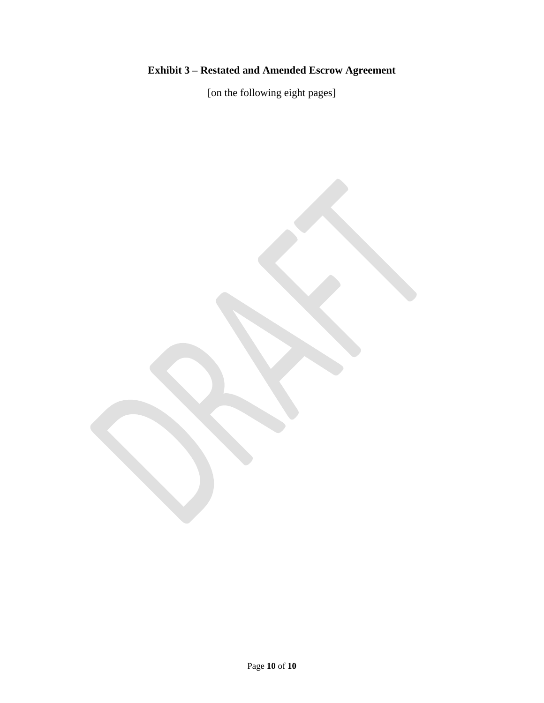# **Exhibit 3 – Restated and Amended Escrow Agreement**

[on the following eight pages]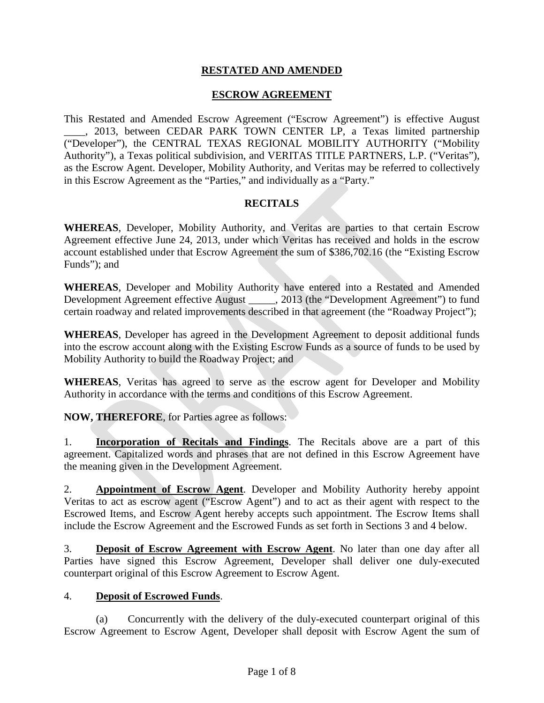#### **RESTATED AND AMENDED**

#### **ESCROW AGREEMENT**

This Restated and Amended Escrow Agreement ("Escrow Agreement") is effective August \_\_\_\_, 2013, between CEDAR PARK TOWN CENTER LP, a Texas limited partnership ("Developer"), the CENTRAL TEXAS REGIONAL MOBILITY AUTHORITY ("Mobility Authority"), a Texas political subdivision, and VERITAS TITLE PARTNERS, L.P. ("Veritas"), as the Escrow Agent. Developer, Mobility Authority, and Veritas may be referred to collectively in this Escrow Agreement as the "Parties," and individually as a "Party."

#### **RECITALS**

**WHEREAS**, Developer, Mobility Authority, and Veritas are parties to that certain Escrow Agreement effective June 24, 2013, under which Veritas has received and holds in the escrow account established under that Escrow Agreement the sum of \$386,702.16 (the "Existing Escrow Funds"); and

**WHEREAS**, Developer and Mobility Authority have entered into a Restated and Amended Development Agreement effective August \_\_\_\_\_, 2013 (the "Development Agreement") to fund certain roadway and related improvements described in that agreement (the "Roadway Project");

**WHEREAS**, Developer has agreed in the Development Agreement to deposit additional funds into the escrow account along with the Existing Escrow Funds as a source of funds to be used by Mobility Authority to build the Roadway Project; and

**WHEREAS**, Veritas has agreed to serve as the escrow agent for Developer and Mobility Authority in accordance with the terms and conditions of this Escrow Agreement.

**NOW, THEREFORE**, for Parties agree as follows:

1. **Incorporation of Recitals and Findings**. The Recitals above are a part of this agreement. Capitalized words and phrases that are not defined in this Escrow Agreement have the meaning given in the Development Agreement.

2. **Appointment of Escrow Agent**. Developer and Mobility Authority hereby appoint Veritas to act as escrow agent ("Escrow Agent") and to act as their agent with respect to the Escrowed Items, and Escrow Agent hereby accepts such appointment. The Escrow Items shall include the Escrow Agreement and the Escrowed Funds as set forth in Sections 3 and 4 below.

3. **Deposit of Escrow Agreement with Escrow Agent**. No later than one day after all Parties have signed this Escrow Agreement, Developer shall deliver one duly-executed counterpart original of this Escrow Agreement to Escrow Agent.

#### 4. **Deposit of Escrowed Funds**.

(a) Concurrently with the delivery of the duly-executed counterpart original of this Escrow Agreement to Escrow Agent, Developer shall deposit with Escrow Agent the sum of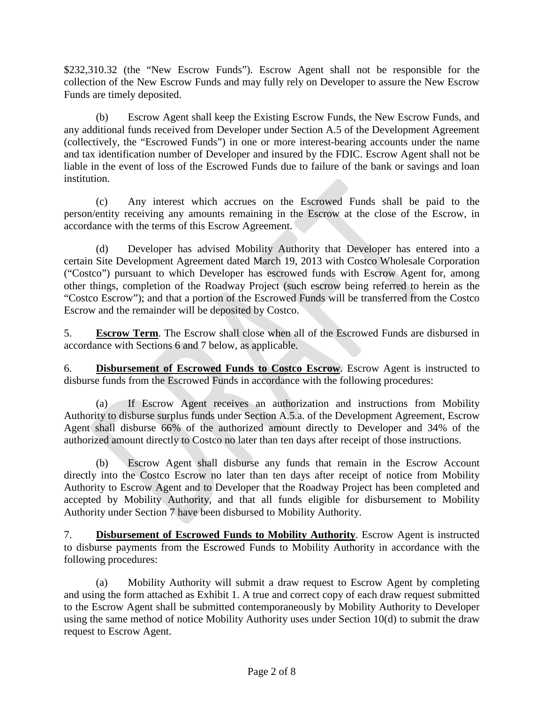\$232,310.32 (the "New Escrow Funds"). Escrow Agent shall not be responsible for the collection of the New Escrow Funds and may fully rely on Developer to assure the New Escrow Funds are timely deposited.

(b) Escrow Agent shall keep the Existing Escrow Funds, the New Escrow Funds, and any additional funds received from Developer under Section A.5 of the Development Agreement (collectively, the "Escrowed Funds") in one or more interest-bearing accounts under the name and tax identification number of Developer and insured by the FDIC. Escrow Agent shall not be liable in the event of loss of the Escrowed Funds due to failure of the bank or savings and loan institution.

(c) Any interest which accrues on the Escrowed Funds shall be paid to the person/entity receiving any amounts remaining in the Escrow at the close of the Escrow, in accordance with the terms of this Escrow Agreement.

(d) Developer has advised Mobility Authority that Developer has entered into a certain Site Development Agreement dated March 19, 2013 with Costco Wholesale Corporation ("Costco") pursuant to which Developer has escrowed funds with Escrow Agent for, among other things, completion of the Roadway Project (such escrow being referred to herein as the "Costco Escrow"); and that a portion of the Escrowed Funds will be transferred from the Costco Escrow and the remainder will be deposited by Costco.

5. **Escrow Term**. The Escrow shall close when all of the Escrowed Funds are disbursed in accordance with Sections 6 and 7 below, as applicable.

6. **Disbursement of Escrowed Funds to Costco Escrow**. Escrow Agent is instructed to disburse funds from the Escrowed Funds in accordance with the following procedures:

(a) If Escrow Agent receives an authorization and instructions from Mobility Authority to disburse surplus funds under Section A.5.a. of the Development Agreement, Escrow Agent shall disburse 66% of the authorized amount directly to Developer and 34% of the authorized amount directly to Costco no later than ten days after receipt of those instructions.

(b) Escrow Agent shall disburse any funds that remain in the Escrow Account directly into the Costco Escrow no later than ten days after receipt of notice from Mobility Authority to Escrow Agent and to Developer that the Roadway Project has been completed and accepted by Mobility Authority, and that all funds eligible for disbursement to Mobility Authority under Section 7 have been disbursed to Mobility Authority.

7. **Disbursement of Escrowed Funds to Mobility Authority**. Escrow Agent is instructed to disburse payments from the Escrowed Funds to Mobility Authority in accordance with the following procedures:

(a) Mobility Authority will submit a draw request to Escrow Agent by completing and using the form attached as Exhibit 1. A true and correct copy of each draw request submitted to the Escrow Agent shall be submitted contemporaneously by Mobility Authority to Developer using the same method of notice Mobility Authority uses under Section 10(d) to submit the draw request to Escrow Agent.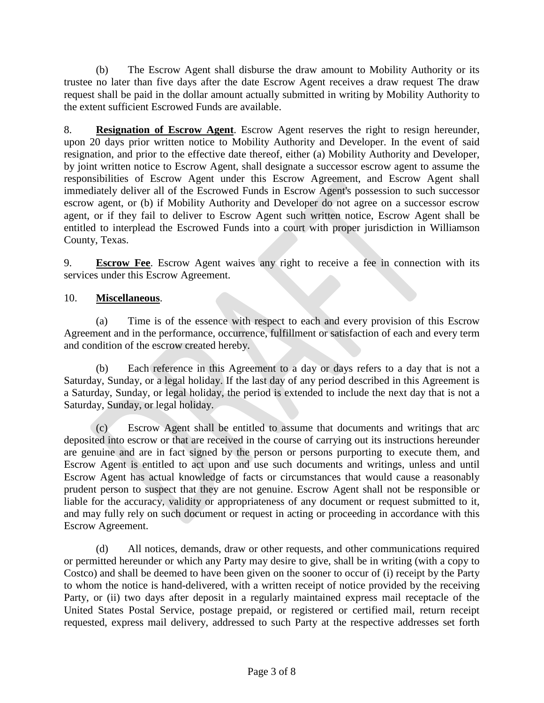(b) The Escrow Agent shall disburse the draw amount to Mobility Authority or its trustee no later than five days after the date Escrow Agent receives a draw request The draw request shall be paid in the dollar amount actually submitted in writing by Mobility Authority to the extent sufficient Escrowed Funds are available.

8. **Resignation of Escrow Agent**. Escrow Agent reserves the right to resign hereunder, upon 20 days prior written notice to Mobility Authority and Developer. In the event of said resignation, and prior to the effective date thereof, either (a) Mobility Authority and Developer, by joint written notice to Escrow Agent, shall designate a successor escrow agent to assume the responsibilities of Escrow Agent under this Escrow Agreement, and Escrow Agent shall immediately deliver all of the Escrowed Funds in Escrow Agent's possession to such successor escrow agent, or (b) if Mobility Authority and Developer do not agree on a successor escrow agent, or if they fail to deliver to Escrow Agent such written notice, Escrow Agent shall be entitled to interplead the Escrowed Funds into a court with proper jurisdiction in Williamson County, Texas.

9. **Escrow Fee**. Escrow Agent waives any right to receive a fee in connection with its services under this Escrow Agreement.

#### 10. **Miscellaneous**.

(a) Time is of the essence with respect to each and every provision of this Escrow Agreement and in the performance, occurrence, fulfillment or satisfaction of each and every term and condition of the escrow created hereby.

(b) Each reference in this Agreement to a day or days refers to a day that is not a Saturday, Sunday, or a legal holiday. If the last day of any period described in this Agreement is a Saturday, Sunday, or legal holiday, the period is extended to include the next day that is not a Saturday, Sunday, or legal holiday.

(c) Escrow Agent shall be entitled to assume that documents and writings that arc deposited into escrow or that are received in the course of carrying out its instructions hereunder are genuine and are in fact signed by the person or persons purporting to execute them, and Escrow Agent is entitled to act upon and use such documents and writings, unless and until Escrow Agent has actual knowledge of facts or circumstances that would cause a reasonably prudent person to suspect that they are not genuine. Escrow Agent shall not be responsible or liable for the accuracy, validity or appropriateness of any document or request submitted to it, and may fully rely on such document or request in acting or proceeding in accordance with this Escrow Agreement.

(d) All notices, demands, draw or other requests, and other communications required or permitted hereunder or which any Party may desire to give, shall be in writing (with a copy to Costco) and shall be deemed to have been given on the sooner to occur of (i) receipt by the Party to whom the notice is hand-delivered, with a written receipt of notice provided by the receiving Party, or (ii) two days after deposit in a regularly maintained express mail receptacle of the United States Postal Service, postage prepaid, or registered or certified mail, return receipt requested, express mail delivery, addressed to such Party at the respective addresses set forth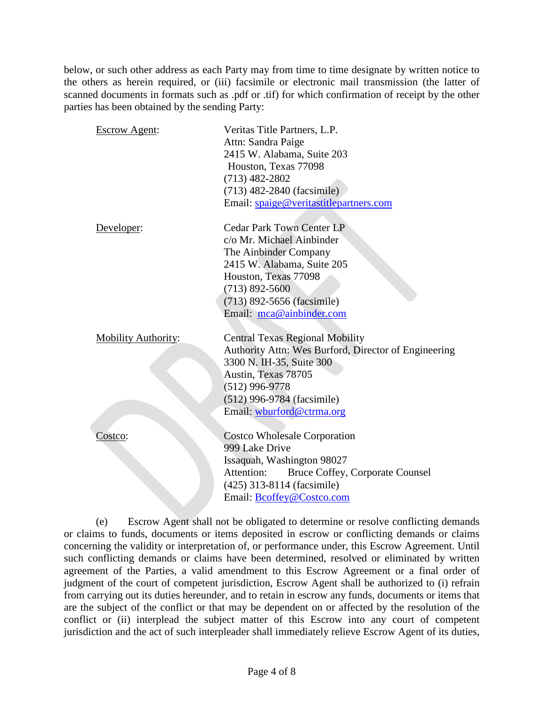below, or such other address as each Party may from time to time designate by written notice to the others as herein required, or (iii) facsimile or electronic mail transmission (the latter of scanned documents in formats such as .pdf or .tif) for which confirmation of receipt by the other parties has been obtained by the sending Party:

| <b>Escrow Agent:</b>       | Veritas Title Partners, L.P.                         |
|----------------------------|------------------------------------------------------|
|                            | Attn: Sandra Paige                                   |
|                            | 2415 W. Alabama, Suite 203                           |
|                            | Houston, Texas 77098                                 |
|                            | $(713)$ 482-2802                                     |
|                            | (713) 482-2840 (facsimile)                           |
|                            | Email: spaige@veritastitlepartners.com               |
|                            |                                                      |
| Developer:                 | <b>Cedar Park Town Center LP</b>                     |
|                            | c/o Mr. Michael Ainbinder                            |
|                            | The Ainbinder Company                                |
|                            | 2415 W. Alabama, Suite 205                           |
|                            | Houston, Texas 77098                                 |
|                            | $(713) 892 - 5600$                                   |
|                            | (713) 892-5656 (facsimile)                           |
|                            | Email: mca@ainbinder.com                             |
|                            |                                                      |
| <b>Mobility Authority:</b> | <b>Central Texas Regional Mobility</b>               |
|                            | Authority Attn: Wes Burford, Director of Engineering |
|                            | 3300 N. IH-35, Suite 300                             |
|                            | Austin, Texas 78705                                  |
|                            | $(512)$ 996-9778                                     |
|                            | (512) 996-9784 (facsimile)                           |
|                            | Email: wburford@ctrma.org                            |
|                            |                                                      |
| Costco:                    | <b>Costco Wholesale Corporation</b>                  |
|                            | 999 Lake Drive                                       |
|                            | Issaquah, Washington 98027                           |
|                            | Attention:<br>Bruce Coffey, Corporate Counsel        |
|                            | (425) 313-8114 (facsimile)                           |
|                            | Email: Bcoffey@Costco.com                            |
|                            |                                                      |

(e) Escrow Agent shall not be obligated to determine or resolve conflicting demands or claims to funds, documents or items deposited in escrow or conflicting demands or claims concerning the validity or interpretation of, or performance under, this Escrow Agreement. Until such conflicting demands or claims have been determined, resolved or eliminated by written agreement of the Parties, a valid amendment to this Escrow Agreement or a final order of judgment of the court of competent jurisdiction, Escrow Agent shall be authorized to (i) refrain from carrying out its duties hereunder, and to retain in escrow any funds, documents or items that are the subject of the conflict or that may be dependent on or affected by the resolution of the conflict or (ii) interplead the subject matter of this Escrow into any court of competent jurisdiction and the act of such interpleader shall immediately relieve Escrow Agent of its duties,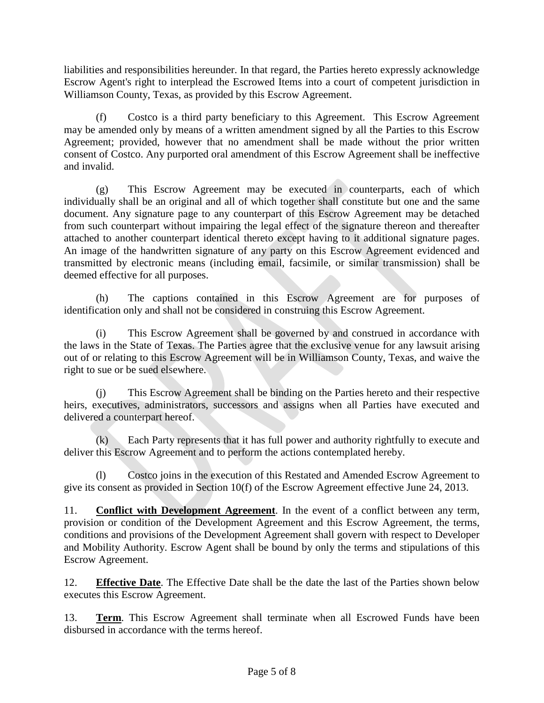liabilities and responsibilities hereunder. In that regard, the Parties hereto expressly acknowledge Escrow Agent's right to interplead the Escrowed Items into a court of competent jurisdiction in Williamson County, Texas, as provided by this Escrow Agreement.

(f) Costco is a third party beneficiary to this Agreement. This Escrow Agreement may be amended only by means of a written amendment signed by all the Parties to this Escrow Agreement; provided, however that no amendment shall be made without the prior written consent of Costco. Any purported oral amendment of this Escrow Agreement shall be ineffective and invalid.

(g) This Escrow Agreement may be executed in counterparts, each of which individually shall be an original and all of which together shall constitute but one and the same document. Any signature page to any counterpart of this Escrow Agreement may be detached from such counterpart without impairing the legal effect of the signature thereon and thereafter attached to another counterpart identical thereto except having to it additional signature pages. An image of the handwritten signature of any party on this Escrow Agreement evidenced and transmitted by electronic means (including email, facsimile, or similar transmission) shall be deemed effective for all purposes.

(h) The captions contained in this Escrow Agreement are for purposes of identification only and shall not be considered in construing this Escrow Agreement.

(i) This Escrow Agreement shall be governed by and construed in accordance with the laws in the State of Texas. The Parties agree that the exclusive venue for any lawsuit arising out of or relating to this Escrow Agreement will be in Williamson County, Texas, and waive the right to sue or be sued elsewhere.

(j) This Escrow Agreement shall be binding on the Parties hereto and their respective heirs, executives, administrators, successors and assigns when all Parties have executed and delivered a counterpart hereof.

(k) Each Party represents that it has full power and authority rightfully to execute and deliver this Escrow Agreement and to perform the actions contemplated hereby.

(l) Costco joins in the execution of this Restated and Amended Escrow Agreement to give its consent as provided in Section 10(f) of the Escrow Agreement effective June 24, 2013.

11. **Conflict with Development Agreement**. In the event of a conflict between any term, provision or condition of the Development Agreement and this Escrow Agreement, the terms, conditions and provisions of the Development Agreement shall govern with respect to Developer and Mobility Authority. Escrow Agent shall be bound by only the terms and stipulations of this Escrow Agreement.

12. **Effective Date**. The Effective Date shall be the date the last of the Parties shown below executes this Escrow Agreement.

13. **Term**. This Escrow Agreement shall terminate when all Escrowed Funds have been disbursed in accordance with the terms hereof.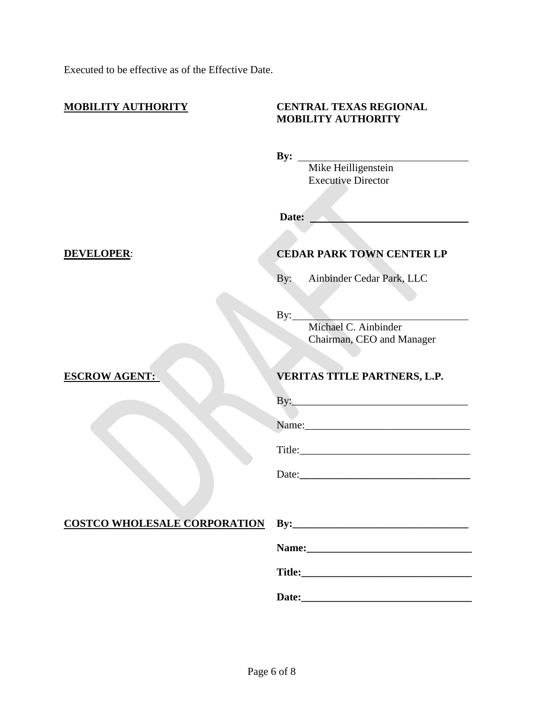Executed to be effective as of the Effective Date.

| <b>MOBILITY AUTHORITY</b>             | <b>CENTRAL TEXAS REGIONAL</b><br><b>MOBILITY AUTHORITY</b>    |
|---------------------------------------|---------------------------------------------------------------|
|                                       | By: Mike Heilligenstein<br><b>Executive Director</b><br>Date: |
| <b>DEVELOPER:</b>                     | <b>CEDAR PARK TOWN CENTER LP</b>                              |
|                                       | Ainbinder Cedar Park, LLC<br>By:                              |
|                                       | By:<br>Michael C. Ainbinder<br>Chairman, CEO and Manager      |
| <b>ESCROW AGENT:</b>                  | <b>VERITAS TITLE PARTNERS, L.P.</b>                           |
|                                       |                                                               |
|                                       |                                                               |
|                                       |                                                               |
|                                       |                                                               |
| COSTCO WHOLESALE CORPORATION By: 1997 |                                                               |
|                                       |                                                               |
|                                       |                                                               |
|                                       |                                                               |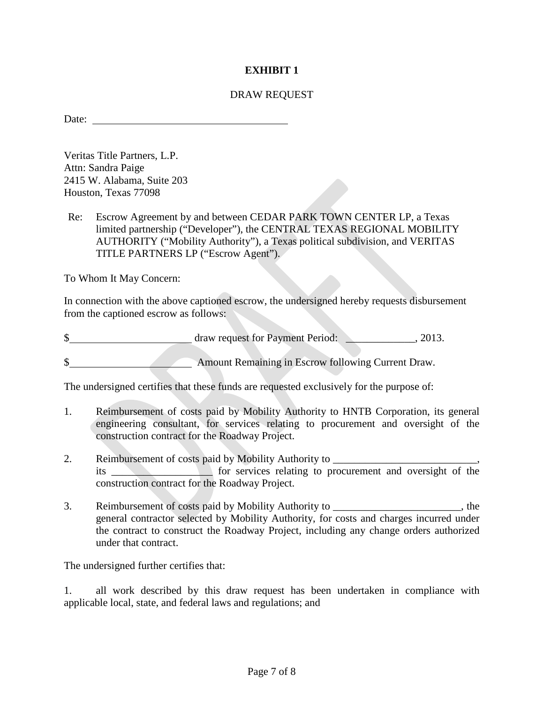#### **EXHIBIT 1**

#### DRAW REQUEST

Date:

Veritas Title Partners, L.P. Attn: Sandra Paige 2415 W. Alabama, Suite 203 Houston, Texas 77098

Re: Escrow Agreement by and between CEDAR PARK TOWN CENTER LP, a Texas limited partnership ("Developer"), the CENTRAL TEXAS REGIONAL MOBILITY AUTHORITY ("Mobility Authority"), a Texas political subdivision, and VERITAS TITLE PARTNERS LP ("Escrow Agent").

To Whom It May Concern:

In connection with the above captioned escrow, the undersigned hereby requests disbursement from the captioned escrow as follows:

| ጦ | draw request for Payment Period: |  |  | 2013. |
|---|----------------------------------|--|--|-------|
|   |                                  |  |  |       |

\$ Amount Remaining in Escrow following Current Draw.

The undersigned certifies that these funds are requested exclusively for the purpose of:

- 1. Reimbursement of costs paid by Mobility Authority to HNTB Corporation, its general engineering consultant, for services relating to procurement and oversight of the construction contract for the Roadway Project.
- 2. Reimbursement of costs paid by Mobility Authority to \_\_\_\_\_\_\_\_\_\_\_\_\_\_\_\_\_\_\_\_\_\_\_\_ its \_\_\_\_\_\_\_\_\_\_\_\_\_\_\_\_\_\_\_ for services relating to procurement and oversight of the construction contract for the Roadway Project.
- 3. Reimbursement of costs paid by Mobility Authority to \_\_\_\_\_\_\_\_\_\_\_\_\_\_\_\_\_\_\_\_\_\_\_\_, the general contractor selected by Mobility Authority, for costs and charges incurred under the contract to construct the Roadway Project, including any change orders authorized under that contract.

The undersigned further certifies that:

1. all work described by this draw request has been undertaken in compliance with applicable local, state, and federal laws and regulations; and